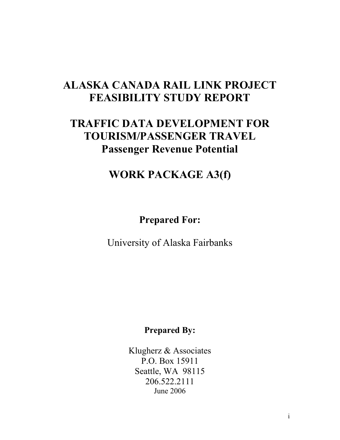# **ALASKA CANADA RAIL LINK PROJECT FEASIBILITY STUDY REPORT**

# **TRAFFIC DATA DEVELOPMENT FOR TOURISM/PASSENGER TRAVEL Passenger Revenue Potential**

# **WORK PACKAGE A3(f)**

## **Prepared For:**

University of Alaska Fairbanks

## **Prepared By:**

Klugherz & Associates P.O. Box 15911 Seattle, WA 98115 206.522.2111 June 2006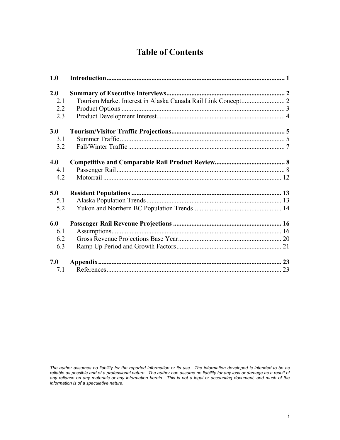## **Table of Contents**

| 1.0 |  |
|-----|--|
| 2.0 |  |
| 2.1 |  |
| 2.2 |  |
| 2.3 |  |
| 3.0 |  |
| 3.1 |  |
| 3.2 |  |
| 4.0 |  |
| 4.1 |  |
| 4.2 |  |
| 5.0 |  |
| 5.1 |  |
| 5.2 |  |
| 6.0 |  |
| 6.1 |  |
| 6.2 |  |
| 6.3 |  |
| 7.0 |  |
| 7.1 |  |
|     |  |

*The author assumes no liability for the reported information or its use. The information developed is intended to be as reliable as possible and of a professional nature. The author can assume no liability for any loss or damage as a result of any reliance on any materials or any information herein. This is not a legal or accounting document, and much of the information is of a speculative nature.*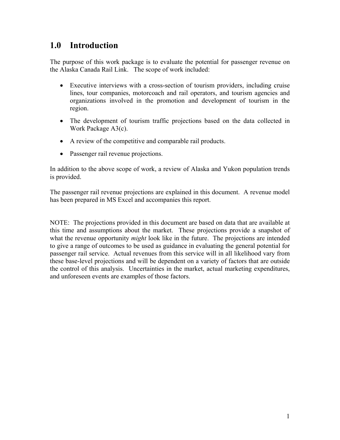## **1.0 Introduction**

The purpose of this work package is to evaluate the potential for passenger revenue on the Alaska Canada Rail Link. The scope of work included:

- Executive interviews with a cross-section of tourism providers, including cruise lines, tour companies, motorcoach and rail operators, and tourism agencies and organizations involved in the promotion and development of tourism in the region.
- The development of tourism traffic projections based on the data collected in Work Package A3(c).
- A review of the competitive and comparable rail products.
- Passenger rail revenue projections.

In addition to the above scope of work, a review of Alaska and Yukon population trends is provided.

The passenger rail revenue projections are explained in this document. A revenue model has been prepared in MS Excel and accompanies this report.

NOTE: The projections provided in this document are based on data that are available at this time and assumptions about the market. These projections provide a snapshot of what the revenue opportunity *might* look like in the future. The projections are intended to give a range of outcomes to be used as guidance in evaluating the general potential for passenger rail service. Actual revenues from this service will in all likelihood vary from these base-level projections and will be dependent on a variety of factors that are outside the control of this analysis. Uncertainties in the market, actual marketing expenditures, and unforeseen events are examples of those factors.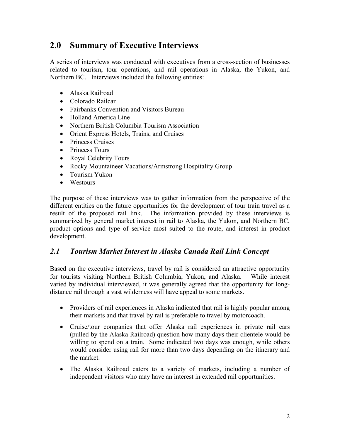## **2.0 Summary of Executive Interviews**

A series of interviews was conducted with executives from a cross-section of businesses related to tourism, tour operations, and rail operations in Alaska, the Yukon, and Northern BC. Interviews included the following entities:

- Alaska Railroad
- Colorado Railcar
- Fairbanks Convention and Visitors Bureau
- Holland America Line
- Northern British Columbia Tourism Association
- Orient Express Hotels, Trains, and Cruises
- Princess Cruises
- Princess Tours
- Royal Celebrity Tours
- Rocky Mountaineer Vacations/Armstrong Hospitality Group
- Tourism Yukon
- Westours

The purpose of these interviews was to gather information from the perspective of the different entities on the future opportunities for the development of tour train travel as a result of the proposed rail link. The information provided by these interviews is summarized by general market interest in rail to Alaska, the Yukon, and Northern BC, product options and type of service most suited to the route, and interest in product development.

## *2.1 Tourism Market Interest in Alaska Canada Rail Link Concept*

Based on the executive interviews, travel by rail is considered an attractive opportunity for tourists visiting Northern British Columbia, Yukon, and Alaska. While interest varied by individual interviewed, it was generally agreed that the opportunity for longdistance rail through a vast wilderness will have appeal to some markets.

- Providers of rail experiences in Alaska indicated that rail is highly popular among their markets and that travel by rail is preferable to travel by motorcoach.
- Cruise/tour companies that offer Alaska rail experiences in private rail cars (pulled by the Alaska Railroad) question how many days their clientele would be willing to spend on a train. Some indicated two days was enough, while others would consider using rail for more than two days depending on the itinerary and the market.
- The Alaska Railroad caters to a variety of markets, including a number of independent visitors who may have an interest in extended rail opportunities.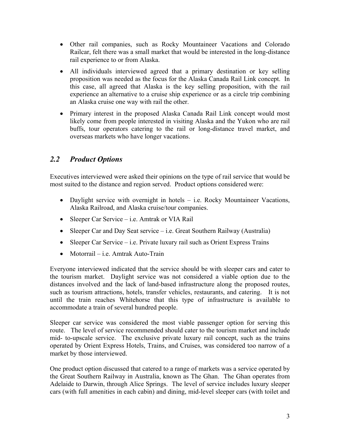- Other rail companies, such as Rocky Mountaineer Vacations and Colorado Railcar, felt there was a small market that would be interested in the long-distance rail experience to or from Alaska.
- All individuals interviewed agreed that a primary destination or key selling proposition was needed as the focus for the Alaska Canada Rail Link concept. In this case, all agreed that Alaska is the key selling proposition, with the rail experience an alternative to a cruise ship experience or as a circle trip combining an Alaska cruise one way with rail the other.
- Primary interest in the proposed Alaska Canada Rail Link concept would most likely come from people interested in visiting Alaska and the Yukon who are rail buffs, tour operators catering to the rail or long-distance travel market, and overseas markets who have longer vacations.

## *2.2 Product Options*

Executives interviewed were asked their opinions on the type of rail service that would be most suited to the distance and region served. Product options considered were:

- Daylight service with overnight in hotels i.e. Rocky Mountaineer Vacations, Alaska Railroad, and Alaska cruise/tour companies.
- Sleeper Car Service i.e. Amtrak or VIA Rail
- Sleeper Car and Day Seat service  $-i.e.$  Great Southern Railway (Australia)
- Sleeper Car Service i.e. Private luxury rail such as Orient Express Trains
- Motorrail i.e. Amtrak Auto-Train

Everyone interviewed indicated that the service should be with sleeper cars and cater to the tourism market. Daylight service was not considered a viable option due to the distances involved and the lack of land-based infrastructure along the proposed routes, such as tourism attractions, hotels, transfer vehicles, restaurants, and catering. It is not until the train reaches Whitehorse that this type of infrastructure is available to accommodate a train of several hundred people.

Sleeper car service was considered the most viable passenger option for serving this route. The level of service recommended should cater to the tourism market and include mid- to-upscale service. The exclusive private luxury rail concept, such as the trains operated by Orient Express Hotels, Trains, and Cruises, was considered too narrow of a market by those interviewed.

One product option discussed that catered to a range of markets was a service operated by the Great Southern Railway in Australia, known as The Ghan. The Ghan operates from Adelaide to Darwin, through Alice Springs. The level of service includes luxury sleeper cars (with full amenities in each cabin) and dining, mid-level sleeper cars (with toilet and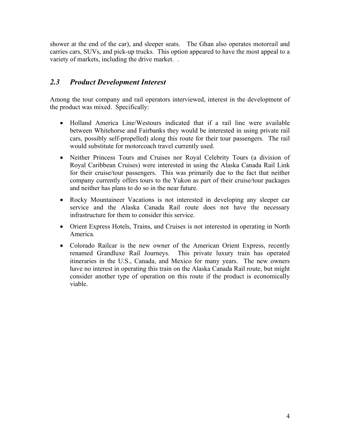shower at the end of the car), and sleeper seats. The Ghan also operates motorrail and carries cars, SUVs, and pick-up trucks. This option appeared to have the most appeal to a variety of markets, including the drive market. .

## *2.3 Product Development Interest*

Among the tour company and rail operators interviewed, interest in the development of the product was mixed. Specifically:

- Holland America Line/Westours indicated that if a rail line were available between Whitehorse and Fairbanks they would be interested in using private rail cars, possibly self-propelled) along this route for their tour passengers. The rail would substitute for motorcoach travel currently used.
- Neither Princess Tours and Cruises nor Royal Celebrity Tours (a division of Royal Caribbean Cruises) were interested in using the Alaska Canada Rail Link for their cruise/tour passengers. This was primarily due to the fact that neither company currently offers tours to the Yukon as part of their cruise/tour packages and neither has plans to do so in the near future.
- Rocky Mountaineer Vacations is not interested in developing any sleeper car service and the Alaska Canada Rail route does not have the necessary infrastructure for them to consider this service.
- Orient Express Hotels, Trains, and Cruises is not interested in operating in North America.
- Colorado Railcar is the new owner of the American Orient Express, recently renamed Grandluxe Rail Journeys. This private luxury train has operated itineraries in the U.S., Canada, and Mexico for many years. The new owners have no interest in operating this train on the Alaska Canada Rail route, but might consider another type of operation on this route if the product is economically viable.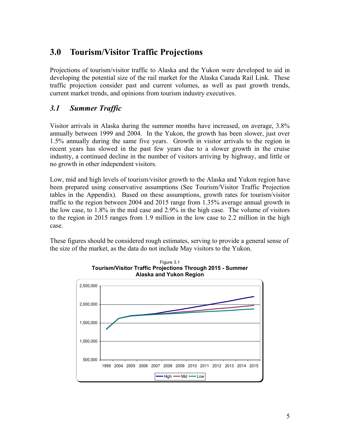## **3.0 Tourism/Visitor Traffic Projections**

Projections of tourism/visitor traffic to Alaska and the Yukon were developed to aid in developing the potential size of the rail market for the Alaska Canada Rail Link. These traffic projection consider past and current volumes, as well as past growth trends, current market trends, and opinions from tourism industry executives.

## *3.1 Summer Traffic*

Visitor arrivals in Alaska during the summer months have increased, on average, 3.8% annually between 1999 and 2004. In the Yukon, the growth has been slower, just over 1.5% annually during the same five years. Growth in visitor arrivals to the region in recent years has slowed in the past few years due to a slower growth in the cruise industry, a continued decline in the number of visitors arriving by highway, and little or no growth in other independent visitors.

Low, mid and high levels of tourism/visitor growth to the Alaska and Yukon region have been prepared using conservative assumptions (See Tourism/Visitor Traffic Projection tables in the Appendix). Based on these assumptions, growth rates for tourism/visitor traffic to the region between 2004 and 2015 range from 1.35% average annual growth in the low case, to 1.8% in the mid case and 2.9% in the high case. The volume of visitors to the region in 2015 ranges from 1.9 million in the low case to 2.2 million in the high case.

These figures should be considered rough estimates, serving to provide a general sense of the size of the market, as the data do not include May visitors to the Yukon.



5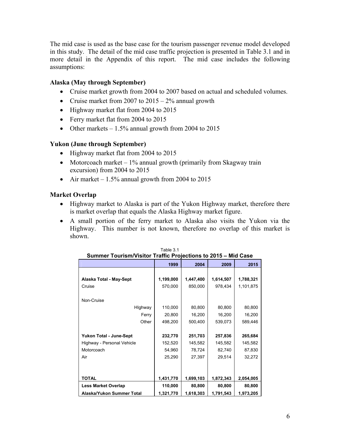The mid case is used as the base case for the tourism passenger revenue model developed in this study. The detail of the mid case traffic projection is presented in Table 3.1 and in more detail in the Appendix of this report. The mid case includes the following assumptions:

### **Alaska (May through September)**

- Cruise market growth from 2004 to 2007 based on actual and scheduled volumes.
- Cruise market from 2007 to  $2015 2\%$  annual growth
- Highway market flat from 2004 to 2015
- Ferry market flat from 2004 to 2015
- Other markets  $-1.5\%$  annual growth from 2004 to 2015

### **Yukon (June through September)**

- Highway market flat from 2004 to 2015
- Motorcoach market  $-1\%$  annual growth (primarily from Skagway train excursion) from 2004 to 2015
- Air market  $-1.5\%$  annual growth from 2004 to 2015

### **Market Overlap**

- Highway market to Alaska is part of the Yukon Highway market, therefore there is market overlap that equals the Alaska Highway market figure.
- A small portion of the ferry market to Alaska also visits the Yukon via the Highway. This number is not known, therefore no overlap of this market is shown.

| Summer Tourism/Visitor Traffic Projections to 2015 - Mid Case |           |           |           |           |  |
|---------------------------------------------------------------|-----------|-----------|-----------|-----------|--|
|                                                               | 1999      | 2004      | 2009      | 2015      |  |
|                                                               |           |           |           |           |  |
| Alaska Total - May-Sept                                       | 1,199,000 | 1,447,400 | 1,614,507 | 1,788,321 |  |
| Cruise                                                        | 570,000   | 850,000   | 978,434   | 1,101,875 |  |
|                                                               |           |           |           |           |  |
| Non-Cruise                                                    |           |           |           |           |  |
| Highway                                                       | 110,000   | 80,800    | 80,800    | 80,800    |  |
| Ferry                                                         | 20,800    | 16,200    | 16,200    | 16,200    |  |
| Other                                                         | 498,200   | 500,400   | 539,073   | 589,446   |  |
|                                                               |           |           |           |           |  |
| Yukon Total - June-Sept                                       | 232,770   | 251,703   | 257,836   | 265,684   |  |
| Highway - Personal Vehicle                                    | 152,520   | 145,582   | 145,582   | 145,582   |  |
| Motorcoach                                                    | 54,960    | 78,724    | 82,740    | 87,830    |  |
| Air                                                           | 25,290    | 27,397    | 29,514    | 32,272    |  |
|                                                               |           |           |           |           |  |
|                                                               |           |           |           |           |  |
| <b>TOTAL</b>                                                  | 1,431,770 | 1,699,103 | 1,872,343 | 2,054,005 |  |
| <b>Less Market Overlap</b>                                    | 110,000   | 80,800    | 80,800    | 80,800    |  |
| Alaska/Yukon Summer Total                                     | 1,321,770 | 1,618,303 | 1,791,543 | 1,973,205 |  |

Table 3.1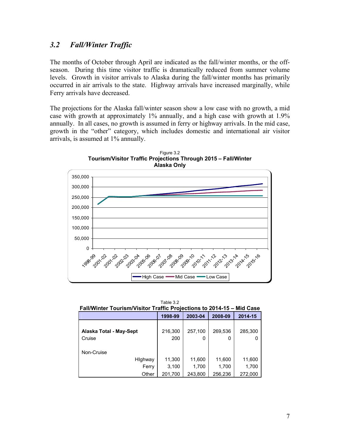## *3.2 Fall/Winter Traffic*

The months of October through April are indicated as the fall/winter months, or the offseason. During this time visitor traffic is dramatically reduced from summer volume levels. Growth in visitor arrivals to Alaska during the fall/winter months has primarily occurred in air arrivals to the state. Highway arrivals have increased marginally, while Ferry arrivals have decreased.

The projections for the Alaska fall/winter season show a low case with no growth, a mid case with growth at approximately 1% annually, and a high case with growth at 1.9% annually. In all cases, no growth is assumed in ferry or highway arrivals. In the mid case, growth in the "other" category, which includes domestic and international air visitor arrivals, is assumed at 1% annually.



Figure 3.2 **Tourism/Visitor Traffic Projections Through 2015 – Fall/Winter** 

Table 3.2 **Fall/Winter Tourism/Visitor Traffic Projections to 2014-15 – Mid Case** 

|                         | 1998-99 | 2003-04 | 2008-09 | 2014-15 |
|-------------------------|---------|---------|---------|---------|
| Alaska Total - May-Sept | 216,300 | 257,100 | 269,536 | 285,300 |
| Cruise                  | 200     | 0       | 0       |         |
|                         |         |         |         |         |
| Non-Cruise              |         |         |         |         |
| Highway                 | 11,300  | 11,600  | 11,600  | 11,600  |
| Ferry                   | 3,100   | 1,700   | 1,700   | 1,700   |
| Other                   | 201,700 | 243.800 | 256,236 | 272,000 |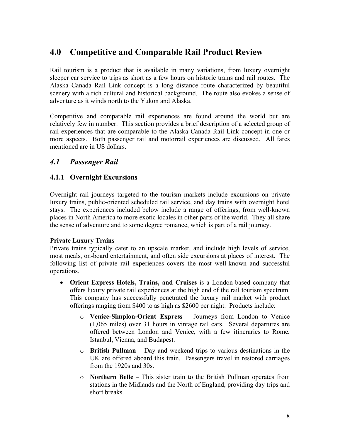## **4.0 Competitive and Comparable Rail Product Review**

Rail tourism is a product that is available in many variations, from luxury overnight sleeper car service to trips as short as a few hours on historic trains and rail routes. The Alaska Canada Rail Link concept is a long distance route characterized by beautiful scenery with a rich cultural and historical background. The route also evokes a sense of adventure as it winds north to the Yukon and Alaska.

Competitive and comparable rail experiences are found around the world but are relatively few in number. This section provides a brief description of a selected group of rail experiences that are comparable to the Alaska Canada Rail Link concept in one or more aspects. Both passenger rail and motorrail experiences are discussed. All fares mentioned are in US dollars.

## *4.1 Passenger Rail*

### **4.1.1 Overnight Excursions**

Overnight rail journeys targeted to the tourism markets include excursions on private luxury trains, public-oriented scheduled rail service, and day trains with overnight hotel stays. The experiences included below include a range of offerings, from well-known places in North America to more exotic locales in other parts of the world. They all share the sense of adventure and to some degree romance, which is part of a rail journey.

### **Private Luxury Trains**

Private trains typically cater to an upscale market, and include high levels of service, most meals, on-board entertainment, and often side excursions at places of interest. The following list of private rail experiences covers the most well-known and successful operations.

- **Orient Express Hotels, Trains, and Cruises** is a London-based company that offers luxury private rail experiences at the high end of the rail tourism spectrum. This company has successfully penetrated the luxury rail market with product offerings ranging from \$400 to as high as \$2600 per night. Products include:
	- o **Venice-Simplon-Orient Express** Journeys from London to Venice (1,065 miles) over 31 hours in vintage rail cars. Several departures are offered between London and Venice, with a few itineraries to Rome, Istanbul, Vienna, and Budapest.
	- o **British Pullman** Day and weekend trips to various destinations in the UK are offered aboard this train. Passengers travel in restored carriages from the 1920s and 30s.
	- o **Northern Belle** This sister train to the British Pullman operates from stations in the Midlands and the North of England, providing day trips and short breaks.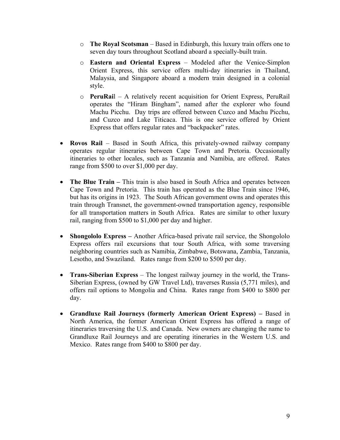- o **The Royal Scotsman** Based in Edinburgh, this luxury train offers one to seven day tours throughout Scotland aboard a specially-built train.
- o **Eastern and Oriental Express** Modeled after the Venice-Simplon Orient Express, this service offers multi-day itineraries in Thailand, Malaysia, and Singapore aboard a modern train designed in a colonial style.
- o **PeruRai**l A relatively recent acquisition for Orient Express, PeruRail operates the "Hiram Bingham", named after the explorer who found Machu Picchu. Day trips are offered between Cuzco and Machu Picchu, and Cuzco and Lake Titicaca. This is one service offered by Orient Express that offers regular rates and "backpacker" rates.
- **Rovos Rail** Based in South Africa, this privately-owned railway company operates regular itineraries between Cape Town and Pretoria. Occasionally itineraries to other locales, such as Tanzania and Namibia, are offered. Rates range from \$500 to over \$1,000 per day.
- **The Blue Train** This train is also based in South Africa and operates between Cape Town and Pretoria. This train has operated as the Blue Train since 1946, but has its origins in 1923. The South African government owns and operates this train through Transnet, the government-owned transportation agency, responsible for all transportation matters in South Africa. Rates are similar to other luxury rail, ranging from \$500 to \$1,000 per day and higher.
- **Shongololo Express** Another Africa-based private rail service, the Shongololo Express offers rail excursions that tour South Africa, with some traversing neighboring countries such as Namibia, Zimbabwe, Botswana, Zambia, Tanzania, Lesotho, and Swaziland. Rates range from \$200 to \$500 per day.
- **Trans-Siberian Express** The longest railway journey in the world, the Trans-Siberian Express, (owned by GW Travel Ltd), traverses Russia (5,771 miles), and offers rail options to Mongolia and China. Rates range from \$400 to \$800 per day.
- **Grandluxe Rail Journeys (formerly American Orient Express)** Based in North America, the former American Orient Express has offered a range of itineraries traversing the U.S. and Canada. New owners are changing the name to Grandluxe Rail Journeys and are operating itineraries in the Western U.S. and Mexico. Rates range from \$400 to \$800 per day.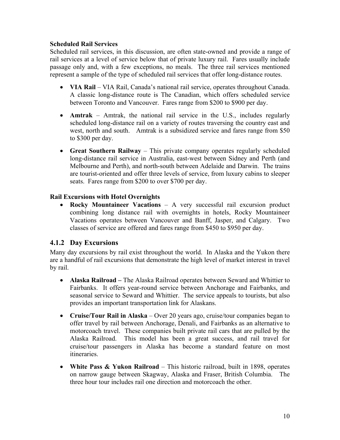### **Scheduled Rail Services**

Scheduled rail services, in this discussion, are often state-owned and provide a range of rail services at a level of service below that of private luxury rail. Fares usually include passage only and, with a few exceptions, no meals. The three rail services mentioned represent a sample of the type of scheduled rail services that offer long-distance routes.

- **VIA Rail** VIA Rail, Canada's national rail service, operates throughout Canada. A classic long-distance route is The Canadian, which offers scheduled service between Toronto and Vancouver. Fares range from \$200 to \$900 per day.
- **Amtrak** Amtrak, the national rail service in the U.S., includes regularly scheduled long-distance rail on a variety of routes traversing the country east and west, north and south. Amtrak is a subsidized service and fares range from \$50 to \$300 per day.
- **Great Southern Railway** This private company operates regularly scheduled long-distance rail service in Australia, east-west between Sidney and Perth (and Melbourne and Perth), and north-south between Adelaide and Darwin. The trains are tourist-oriented and offer three levels of service, from luxury cabins to sleeper seats. Fares range from \$200 to over \$700 per day.

### **Rail Excursions with Hotel Overnights**

• **Rocky Mountaineer Vacations** – A very successful rail excursion product combining long distance rail with overnights in hotels, Rocky Mountaineer Vacations operates between Vancouver and Banff, Jasper, and Calgary. Two classes of service are offered and fares range from \$450 to \$950 per day.

### **4.1.2 Day Excursions**

Many day excursions by rail exist throughout the world. In Alaska and the Yukon there are a handful of rail excursions that demonstrate the high level of market interest in travel by rail.

- **Alaska Railroad** The Alaska Railroad operates between Seward and Whittier to Fairbanks. It offers year-round service between Anchorage and Fairbanks, and seasonal service to Seward and Whittier. The service appeals to tourists, but also provides an important transportation link for Alaskans.
- **Cruise/Tour Rail in Alaska** Over 20 years ago, cruise/tour companies began to offer travel by rail between Anchorage, Denali, and Fairbanks as an alternative to motorcoach travel. These companies built private rail cars that are pulled by the Alaska Railroad. This model has been a great success, and rail travel for cruise/tour passengers in Alaska has become a standard feature on most itineraries.
- **White Pass & Yukon Railroad** This historic railroad, built in 1898, operates on narrow gauge between Skagway, Alaska and Fraser, British Columbia. The three hour tour includes rail one direction and motorcoach the other.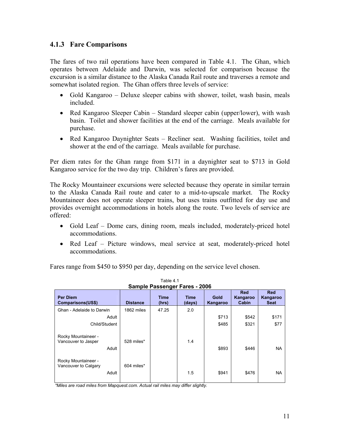### **4.1.3 Fare Comparisons**

The fares of two rail operations have been compared in Table 4.1. The Ghan, which operates between Adelaide and Darwin, was selected for comparison because the excursion is a similar distance to the Alaska Canada Rail route and traverses a remote and somewhat isolated region. The Ghan offers three levels of service:

- Gold Kangaroo Deluxe sleeper cabins with shower, toilet, wash basin, meals included.
- Red Kangaroo Sleeper Cabin Standard sleeper cabin (upper/lower), with wash basin. Toilet and shower facilities at the end of the carriage. Meals available for purchase.
- Red Kangaroo Daynighter Seats Recliner seat. Washing facilities, toilet and shower at the end of the carriage. Meals available for purchase.

Per diem rates for the Ghan range from \$171 in a daynighter seat to \$713 in Gold Kangaroo service for the two day trip. Children's fares are provided.

The Rocky Mountaineer excursions were selected because they operate in similar terrain to the Alaska Canada Rail route and cater to a mid-to-upscale market. The Rocky Mountaineer does not operate sleeper trains, but uses trains outfitted for day use and provides overnight accommodations in hotels along the route. Two levels of service are offered:

- Gold Leaf Dome cars, dining room, meals included, moderately-priced hotel accommodations.
- Red Leaf Picture windows, meal service at seat, moderately-priced hotel accommodations.

Fares range from \$450 to \$950 per day, depending on the service level chosen.

| <b>Sample Passenger Fares - 2006</b>                 |                 |                      |                       |                  |                                 |                                       |  |  |
|------------------------------------------------------|-----------------|----------------------|-----------------------|------------------|---------------------------------|---------------------------------------|--|--|
| <b>Per Diem</b><br>Comparisons(US\$)                 | <b>Distance</b> | <b>Time</b><br>(hrs) | <b>Time</b><br>(days) | Gold<br>Kangaroo | <b>Red</b><br>Kangaroo<br>Cabin | <b>Red</b><br>Kangaroo<br><b>Seat</b> |  |  |
| Ghan - Adelaide to Darwin                            | 1862 miles      | 47.25                | 2.0                   |                  |                                 |                                       |  |  |
| Adult                                                |                 |                      |                       | \$713            | \$542                           | \$171                                 |  |  |
| Child/Student                                        |                 |                      |                       | \$485            | \$321                           | \$77                                  |  |  |
| Rocky Mountaineer -<br>Vancouver to Jasper<br>Adult  | 528 miles*      |                      | 1.4                   | \$893            | \$446                           | <b>NA</b>                             |  |  |
| Rocky Mountaineer -<br>Vancouver to Calgary<br>Adult | 604 miles*      |                      | 1.5                   | \$941            | \$476                           | <b>NA</b>                             |  |  |

Table 4.1

*\*Miles are road miles from Mapquest.com. Actual rail miles may differ slightly.*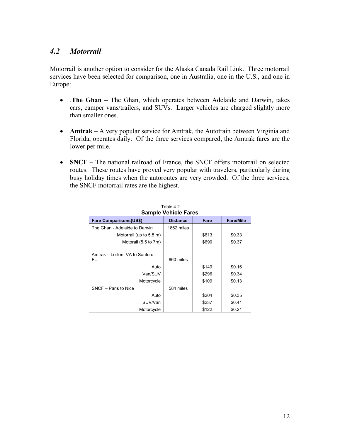## *4.2 Motorrail*

Motorrail is another option to consider for the Alaska Canada Rail Link. Three motorrail services have been selected for comparison, one in Australia, one in the U.S., and one in Europe:.

- .**The Ghan** The Ghan, which operates between Adelaide and Darwin, takes cars, camper vans/trailers, and SUVs. Larger vehicles are charged slightly more than smaller ones.
- **Amtrak** A very popular service for Amtrak, the Autotrain between Virginia and Florida, operates daily. Of the three services compared, the Amtrak fares are the lower per mile.
- **SNCF** The national railroad of France, the SNCF offers motorrail on selected routes. These routes have proved very popular with travelers, particularly during busy holiday times when the autoroutes are very crowded. Of the three services, the SNCF motorrail rates are the highest.

| Table 4.2<br><b>Sample Vehicle Fares</b> |                 |       |                  |  |  |  |
|------------------------------------------|-----------------|-------|------------------|--|--|--|
| <b>Fare Comparisons(US\$)</b>            | <b>Distance</b> | Fare  | <b>Fare/Mile</b> |  |  |  |
| The Ghan - Adelaide to Darwin            | 1862 miles      |       |                  |  |  |  |
| Motorrail (up to 5.5 m)                  |                 | \$613 | \$0.33           |  |  |  |
| Motorail (5.5 to 7m)                     |                 | \$690 | \$0.37           |  |  |  |
|                                          |                 |       |                  |  |  |  |
| Amtrak – Lorton, VA to Sanford,<br>FL    | 860 miles       |       |                  |  |  |  |
| Auto                                     |                 | \$149 | \$0.16           |  |  |  |
| Van/SUV                                  |                 | \$296 | \$0.34           |  |  |  |
| Motorcycle                               |                 | \$109 | \$0.13           |  |  |  |
| SNCF - Paris to Nice                     | 584 miles       |       |                  |  |  |  |
| Auto                                     |                 | \$204 | \$0.35           |  |  |  |
| SUV/Van                                  |                 | \$237 | \$0.41           |  |  |  |
| Motorcycle                               |                 | \$122 | \$0.21           |  |  |  |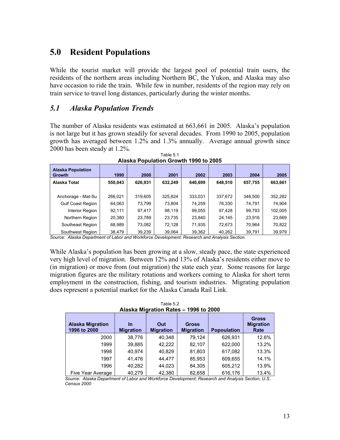## **5.0 Resident Populations**

While the tourist market will provide the largest pool of potential train users, the residents of the northern areas including Northern BC, the Yukon, and Alaska may also have occasion to ride the train. While few in number, residents of the region may rely on train service to travel long distances, particularly during the winter months.

### *5.1 Alaska Population Trends*

The number of Alaska residents was estimated at 663,661 in 2005. Alaska's population is not large but it has grown steadily for several decades. From 1990 to 2005, population growth has averaged between 1.2% and 1.3% annually. Average annual growth since 2000 has been steady at 1.2%.

| <b>Alaska Population</b><br>Growth | 1990    | 2000    | 2001    | 2002    | 2003    | 2004    | 2005    |  |  |
|------------------------------------|---------|---------|---------|---------|---------|---------|---------|--|--|
| Alaska Total                       | 550,043 | 626.931 | 632,249 | 640,699 | 648,510 | 657,755 | 663,661 |  |  |
|                                    |         |         |         |         |         |         |         |  |  |
| Anchorage - Mat-Su                 | 266,021 | 319,605 | 325.824 | 333,031 | 337,672 | 348.500 | 352,282 |  |  |
| <b>Gulf Coast Region</b>           | 64,063  | 73,799  | 73.804  | 74.259  | 76,330  | 74,791  | 74,904  |  |  |
| Interior Region                    | 92,111  | 97,417  | 98,119  | 99,055  | 97,428  | 99,793  | 102,005 |  |  |
| Northern Region                    | 20.380  | 23.789  | 23.735  | 23,840  | 24.145  | 23.916  | 23,669  |  |  |
| Southeast Region                   | 68.989  | 73,082  | 72.128  | 71,935  | 72.673  | 70.964  | 70,822  |  |  |
| Southwest Region                   | 38,479  | 39,239  | 39,064  | 39,362  | 40,262  | 39,791  | 39,979  |  |  |

Table 5.1 **Alaska Population Growth 1990 to 2005** 

*Source: Alaska Department of Labor and Workforce Development; Research and Analysis Section.* 

While Alaska's population has been growing at a slow, steady pace, the state experienced very high level of migration. Between 12% and 13% of Alaska's residents either move to (in migration) or move from (out migration) the state each year. Some reasons for large migration figures are the military rotations and workers coming to Alaska for short term employment in the construction, fishing, and tourism industries. Migrating population does represent a potential market for the Alaska Canada Rail Link.

| <b>Alaska Migration</b><br>1996 to 2000 | In<br><b>Migration</b> | Out<br><b>Migration</b> | <b>Gross</b><br><b>Migration</b> | <b>Popoulation</b> | <b>Gross</b><br><b>Migration</b><br>Rate |
|-----------------------------------------|------------------------|-------------------------|----------------------------------|--------------------|------------------------------------------|
| 2000                                    | 38,776                 | 40,348                  | 79,124                           | 626,931            | 12.6%                                    |
| 1999                                    | 39,885                 | 42,222                  | 82,107                           | 622,000            | 13.2%                                    |
| 1998                                    | 40.974                 | 40,829                  | 81,803                           | 617,082            | 13.3%                                    |
| 1997                                    | 41,476                 | 44.477                  | 85,953                           | 609,655            | 14.1%                                    |
| 1996                                    | 40,282                 | 44,023                  | 84,305                           | 605,212            | 13.9%                                    |
| Five Year Average                       | 40,279                 | 42,380                  | 82,658                           | 616.176            | 13.4%                                    |

Table 5.2 **Alaska Migration Rates – 1996 to 2000** 

*Source: Alaska Department of Labor and Workforce Development; Research and Analysis Section, U.S. Census 2000*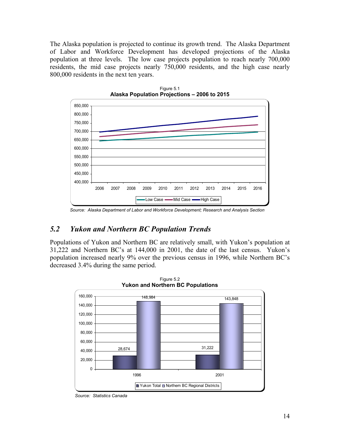The Alaska population is projected to continue its growth trend. The Alaska Department of Labor and Workforce Development has developed projections of the Alaska population at three levels. The low case projects population to reach nearly 700,000 residents, the mid case projects nearly 750,000 residents, and the high case nearly 800,000 residents in the next ten years.



Figure 5.1 **Alaska Population Projections – 2006 to 2015** 

## *5.2 Yukon and Northern BC Population Trends*

Populations of Yukon and Northern BC are relatively small, with Yukon's population at 31,222 and Northern BC's at 144,000 in 2001, the date of the last census. Yukon's population increased nearly 9% over the previous census in 1996, while Northern BC's decreased 3.4% during the same period.



Figure 5.2 **Yukon and Northern BC Populations** 

*Source: Alaska Department of Labor and Workforce Development; Research and Analysis Section* 

*Source: Statistics Canada*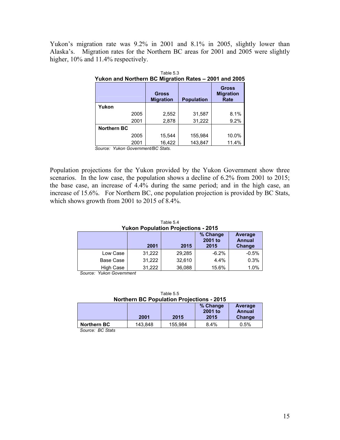Yukon's migration rate was 9.2% in 2001 and 8.1% in 2005, slightly lower than Alaska's. Migration rates for the Northern BC areas for 2001 and 2005 were slightly higher,  $10\%$  and  $11.4\%$  respectively.

| Yukon and Northern BC Migration Rates - 2001 and 2005 |      |                                  |                   |                                          |  |  |
|-------------------------------------------------------|------|----------------------------------|-------------------|------------------------------------------|--|--|
|                                                       |      | <b>Gross</b><br><b>Migration</b> | <b>Population</b> | <b>Gross</b><br><b>Migration</b><br>Rate |  |  |
| Yukon                                                 |      |                                  |                   |                                          |  |  |
|                                                       | 2005 | 2,552                            | 31,587            | 8.1%                                     |  |  |
|                                                       | 2001 | 2,878                            | 31,222            | 9.2%                                     |  |  |
| Northern BC                                           |      |                                  |                   |                                          |  |  |
|                                                       | 2005 | 15,544                           | 155,984           | 10.0%                                    |  |  |
|                                                       | 2001 | 16,422                           | 143,847           | 11.4%                                    |  |  |

*Source: Yukon Government/BC Stats.* 

Population projections for the Yukon provided by the Yukon Government show three scenarios. In the low case, the population shows a decline of 6.2% from 2001 to 2015; the base case, an increase of 4.4% during the same period; and in the high case, an increase of 15.6%. For Northern BC, one population projection is provided by BC Stats, which shows growth from 2001 to 2015 of 8.4%.

Table 5.4 **Yukon Population Projections - 2015 2001 2015 % Change 2001 to 2015 Average Annual Change**  Low Case  $\begin{array}{|c|c|c|c|c|c|c|c|} \hline \end{array}$  31,222 29,285 -6.2% -6.2% -0.5% Base Case 31,222 32,610 4.4% 0.3% High Case 31,222 36,088 15.6% 1.0%

*Source: Yukon Government*

| Table 5.5                                        |  |  |  |  |
|--------------------------------------------------|--|--|--|--|
| <b>Northern BC Population Projections - 2015</b> |  |  |  |  |

|                    | 2001    | 2015    | % Change<br>2001 to<br>2015 | Average<br>Annual<br>Change |
|--------------------|---------|---------|-----------------------------|-----------------------------|
| <b>Northern BC</b> | 143.848 | 155.984 | 8.4%                        | 0.5%                        |
|                    |         |         |                             |                             |

*Source: BC Stats*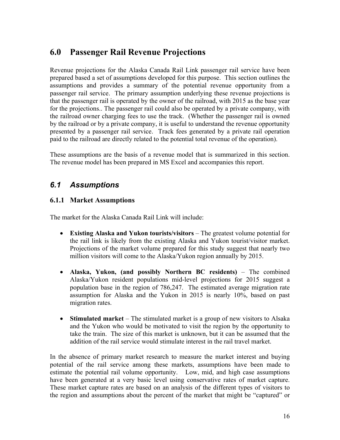## **6.0 Passenger Rail Revenue Projections**

Revenue projections for the Alaska Canada Rail Link passenger rail service have been prepared based a set of assumptions developed for this purpose. This section outlines the assumptions and provides a summary of the potential revenue opportunity from a passenger rail service. The primary assumption underlying these revenue projections is that the passenger rail is operated by the owner of the railroad, with 2015 as the base year for the projections.. The passenger rail could also be operated by a private company, with the railroad owner charging fees to use the track. (Whether the passenger rail is owned by the railroad or by a private company, it is useful to understand the revenue opportunity presented by a passenger rail service. Track fees generated by a private rail operation paid to the railroad are directly related to the potential total revenue of the operation).

These assumptions are the basis of a revenue model that is summarized in this section. The revenue model has been prepared in MS Excel and accompanies this report.

## *6.1 Assumptions*

### **6.1.1 Market Assumptions**

The market for the Alaska Canada Rail Link will include:

- **Existing Alaska and Yukon tourists/visitors** The greatest volume potential for the rail link is likely from the existing Alaska and Yukon tourist/visitor market. Projections of the market volume prepared for this study suggest that nearly two million visitors will come to the Alaska/Yukon region annually by 2015.
- **Alaska, Yukon, (and possibly Northern BC residents)** The combined Alaska/Yukon resident populations mid-level projections for 2015 suggest a population base in the region of 786,247. The estimated average migration rate assumption for Alaska and the Yukon in 2015 is nearly 10%, based on past migration rates.
- **Stimulated market** The stimulated market is a group of new visitors to Alsaka and the Yukon who would be motivated to visit the region by the opportunity to take the train. The size of this market is unknown, but it can be assumed that the addition of the rail service would stimulate interest in the rail travel market.

In the absence of primary market research to measure the market interest and buying potential of the rail service among these markets, assumptions have been made to estimate the potential rail volume opportunity. Low, mid, and high case assumptions have been generated at a very basic level using conservative rates of market capture. These market capture rates are based on an analysis of the different types of visitors to the region and assumptions about the percent of the market that might be "captured" or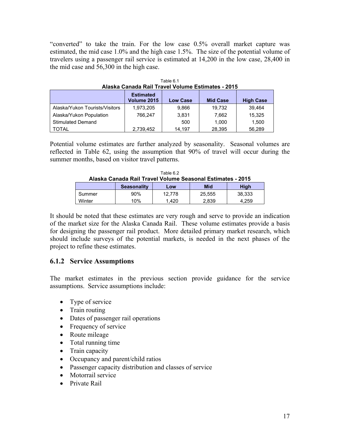"converted" to take the train. For the low case 0.5% overall market capture was estimated, the mid case 1.0% and the high case 1.5%. The size of the potential volume of travelers using a passenger rail service is estimated at 14,200 in the low case, 28,400 in the mid case and 56,300 in the high case.

| Alaska Canada Rail Travel Volume Estimates - 2015 |                                 |                 |                 |                  |  |  |
|---------------------------------------------------|---------------------------------|-----------------|-----------------|------------------|--|--|
|                                                   | <b>Estimated</b><br>Volume 2015 | <b>Low Case</b> | <b>Mid Case</b> | <b>High Case</b> |  |  |
| Alaska/Yukon Tourists/Visitors                    | 1,973,205                       | 9.866           | 19.732          | 39.464           |  |  |
| Alaska/Yukon Population                           | 766.247                         | 3.831           | 7.662           | 15.325           |  |  |
| <b>Stimulated Demand</b>                          |                                 | 500             | 1.000           | 1.500            |  |  |
| <b>TOTAL</b>                                      | 2,739,452                       | 14.197          | 28,395          | 56.289           |  |  |

| Table 6.1                                         |  |  |  |  |  |
|---------------------------------------------------|--|--|--|--|--|
| Alaska Canada Rail Travel Volume Estimates - 2015 |  |  |  |  |  |
|                                                   |  |  |  |  |  |

Potential volume estimates are further analyzed by seasonality. Seasonal volumes are reflected in Table 62, using the assumption that 90% of travel will occur during the summer months, based on visitor travel patterns.

|                                                            |  | Table 6.2 |  |  |
|------------------------------------------------------------|--|-----------|--|--|
| Alaska Canada Rail Travel Volume Seasonal Estimates - 2015 |  |           |  |  |
|                                                            |  |           |  |  |

| Alasha Vallaya Iyali Tiavci Vulullic Ucasullal Lsullialcs - Zu Iy |                    |        |        |             |
|-------------------------------------------------------------------|--------------------|--------|--------|-------------|
|                                                                   | <b>Seasonality</b> | Low    | Mid    | <b>High</b> |
| Summer                                                            | 90%                | 12.778 | 25.555 | 38.333      |
| Winter                                                            | 10%                | .420   | 2.839  | 4.259       |

It should be noted that these estimates are very rough and serve to provide an indication of the market size for the Alaska Canada Rail. These volume estimates provide a basis for designing the passenger rail product. More detailed primary market research, which should include surveys of the potential markets, is needed in the next phases of the project to refine these estimates.

### **6.1.2 Service Assumptions**

The market estimates in the previous section provide guidance for the service assumptions. Service assumptions include:

- Type of service
- Train routing
- Dates of passenger rail operations
- Frequency of service
- Route mileage
- Total running time
- Train capacity
- Occupancy and parent/child ratios
- Passenger capacity distribution and classes of service
- Motorrail service
- Private Rail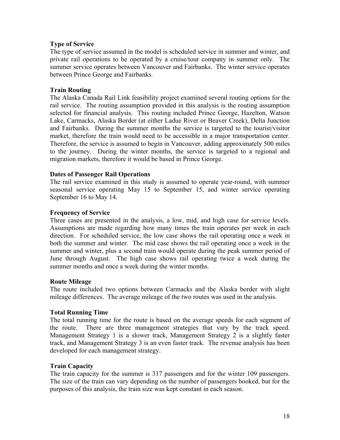### **Type of Service**

The type of service assumed in the model is scheduled service in summer and winter, and private rail operations to be operated by a cruise/tour company in summer only. The summer service operates between Vancouver and Fairbanks. The winter service operates between Prince George and Fairbanks.

#### **Train Routing**

The Alaska Canada Rail Link feasibility project examined several routing options for the rail service. The routing assumption provided in this analysis is the routing assumption selected for financial analysis. This routing included Prince George, Hazelton, Watson Lake, Carmacks, Alaska Border (at either Ladue River or Beaver Creek), Delta Junction and Fairbanks. During the summer months the service is targeted to the tourist/visitor market, therefore the train would need to be accessible in a major transportation center. Therefore, the service is assumed to begin in Vancouver, adding approximately 500 miles to the journey. During the winter months, the service is targeted to a regional and migration markets, therefore it would be based in Prince George.

#### **Dates of Passenger Rail Operations**

The rail service examined in this study is assumed to operate year-round, with summer seasonal service operating May 15 to September 15, and winter service operating September 16 to May 14.

#### **Frequency of Service**

Three cases are presented in the analysis, a low, mid, and high case for service levels. Assumptions are made regarding how many times the train operates per week in each direction. For scheduled service, the low case shows the rail operating once a week in both the summer and winter. The mid case shows the rail operating once a week in the summer and winter, plus a second train would operate during the peak summer period of June through August. The high case shows rail operating twice a week during the summer months and once a week during the winter months.

#### **Route Mileage**

The route included two options between Carmacks and the Alaska border with slight mileage differences. The average mileage of the two routes was used in the analysis.

#### **Total Running Time**

The total running time for the route is based on the average speeds for each segment of the route. There are three management strategies that vary by the track speed. Management Strategy 1 is a slower track, Management Strategy 2 is a slightly faster track, and Management Strategy 3 is an even faster track. The revenue analysis has been developed for each management strategy.

#### **Train Capacity**

The train capacity for the summer is 317 passengers and for the winter 109 passengers. The size of the train can vary depending on the number of passengers booked, but for the purposes of this analysis, the train size was kept constant in each season.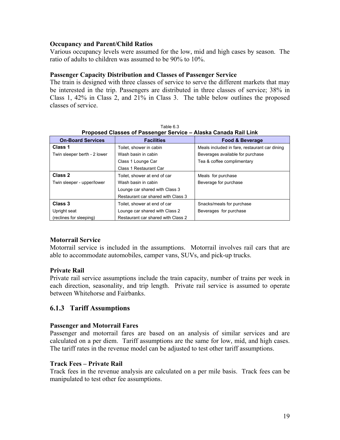### **Occupancy and Parent/Child Ratios**

Various occupancy levels were assumed for the low, mid and high cases by season. The ratio of adults to children was assumed to be 90% to 10%.

#### **Passenger Capacity Distribution and Classes of Passenger Service**

The train is designed with three classes of service to serve the different markets that may be interested in the trip. Passengers are distributed in three classes of service; 38% in Class 1, 42% in Class 2, and 21% in Class 3. The table below outlines the proposed classes of service.

| Proposed Classes of Passenger Service - Alaska Canada Rail Link |                                    |                                               |  |  |
|-----------------------------------------------------------------|------------------------------------|-----------------------------------------------|--|--|
| <b>On-Board Services</b>                                        | <b>Facilities</b>                  | <b>Food &amp; Beverage</b>                    |  |  |
| Class 1                                                         | Toilet, shower in cabin            | Meals included in fare, restaurant car dining |  |  |
| Twin sleeper berth - 2 lower                                    | Wash basin in cabin                | Beverages available for purchase              |  |  |
|                                                                 | Class 1 Lounge Car                 | Tea & coffee complimentary                    |  |  |
|                                                                 | Class 1 Restaurant Car             |                                               |  |  |
| Class 2                                                         | Toilet, shower at end of car       | Meals for purchase                            |  |  |
| Twin sleeper - upper/lower                                      | Wash basin in cabin                | Beverage for purchase                         |  |  |
|                                                                 | Lounge car shared with Class 3     |                                               |  |  |
|                                                                 | Restaurant car shared with Class 3 |                                               |  |  |
| Class 3                                                         | Toilet, shower at end of car       | Snacks/meals for purchase                     |  |  |
| Upright seat                                                    | Lounge car shared with Class 2     | Beverages for purchase                        |  |  |
| (reclines for sleeping)                                         | Restaurant car shared with Class 2 |                                               |  |  |

Table 6.3

### **Motorrail Service**

Motorrail service is included in the assumptions. Motorrail involves rail cars that are able to accommodate automobiles, camper vans, SUVs, and pick-up trucks.

### **Private Rail**

Private rail service assumptions include the train capacity, number of trains per week in each direction, seasonality, and trip length. Private rail service is assumed to operate between Whitehorse and Fairbanks.

### **6.1.3 Tariff Assumptions**

### **Passenger and Motorrail Fares**

Passenger and motorrail fares are based on an analysis of similar services and are calculated on a per diem. Tariff assumptions are the same for low, mid, and high cases. The tariff rates in the revenue model can be adjusted to test other tariff assumptions.

### **Track Fees – Private Rail**

Track fees in the revenue analysis are calculated on a per mile basis. Track fees can be manipulated to test other fee assumptions.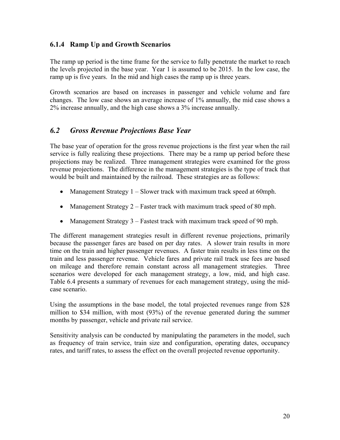### **6.1.4 Ramp Up and Growth Scenarios**

The ramp up period is the time frame for the service to fully penetrate the market to reach the levels projected in the base year. Year 1 is assumed to be 2015. In the low case, the ramp up is five years. In the mid and high cases the ramp up is three years.

Growth scenarios are based on increases in passenger and vehicle volume and fare changes. The low case shows an average increase of 1% annually, the mid case shows a 2% increase annually, and the high case shows a 3% increase annually.

## *6.2 Gross Revenue Projections Base Year*

The base year of operation for the gross revenue projections is the first year when the rail service is fully realizing these projections. There may be a ramp up period before these projections may be realized. Three management strategies were examined for the gross revenue projections. The difference in the management strategies is the type of track that would be built and maintained by the railroad. These strategies are as follows:

- Management Strategy  $1 -$  Slower track with maximum track speed at 60mph.
- Management Strategy 2 Faster track with maximum track speed of 80 mph.
- Management Strategy 3 Fastest track with maximum track speed of 90 mph.

The different management strategies result in different revenue projections, primarily because the passenger fares are based on per day rates. A slower train results in more time on the train and higher passenger revenues. A faster train results in less time on the train and less passenger revenue. Vehicle fares and private rail track use fees are based on mileage and therefore remain constant across all management strategies. Three scenarios were developed for each management strategy, a low, mid, and high case. Table 6.4 presents a summary of revenues for each management strategy, using the midcase scenario.

Using the assumptions in the base model, the total projected revenues range from \$28 million to \$34 million, with most (93%) of the revenue generated during the summer months by passenger, vehicle and private rail service.

Sensitivity analysis can be conducted by manipulating the parameters in the model, such as frequency of train service, train size and configuration, operating dates, occupancy rates, and tariff rates, to assess the effect on the overall projected revenue opportunity.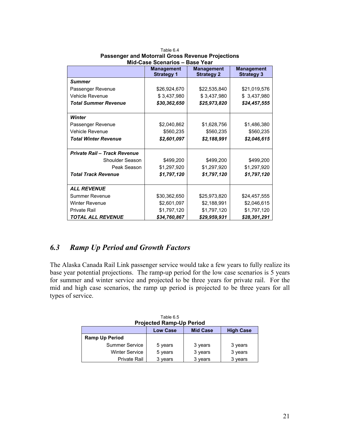|                              | <b>Management</b><br><b>Strategy 1</b> | <b>Management</b><br><b>Strategy 2</b> | <b>Management</b><br><b>Strategy 3</b> |  |
|------------------------------|----------------------------------------|----------------------------------------|----------------------------------------|--|
| <b>Summer</b>                |                                        |                                        |                                        |  |
| Passenger Revenue            | \$26,924,670                           | \$22,535,840                           | \$21,019,576                           |  |
| Vehicle Revenue              | \$3,437,980                            | \$3,437,980                            | \$ 3,437,980                           |  |
| <b>Total Summer Revenue</b>  | \$30,362,650                           | \$25,973,820                           | \$24,457,555                           |  |
| Winter                       |                                        |                                        |                                        |  |
| Passenger Revenue            | \$2,040,862                            | \$1,628,756                            | \$1,486,380                            |  |
| <b>Vehicle Revenue</b>       | \$560,235                              | \$560,235                              | \$560,235                              |  |
| <b>Total Winter Revenue</b>  | \$2,601,097                            | \$2,188,991                            | \$2,046,615                            |  |
| Private Rail - Track Revenue |                                        |                                        |                                        |  |
| Shoulder Season              | \$499,200                              | \$499,200                              | \$499,200                              |  |
| Peak Season                  | \$1,297,920                            | \$1,297,920                            | \$1,297,920                            |  |
| <b>Total Track Revenue</b>   | \$1,797,120                            | \$1,797,120                            | \$1,797,120                            |  |
| <b>ALL REVENUE</b>           |                                        |                                        |                                        |  |
| <b>Summer Revenue</b>        | \$30,362,650                           | \$25,973,820                           | \$24,457,555                           |  |
| <b>Winter Revenue</b>        | \$2,601,097                            | \$2,188,991                            | \$2,046,615                            |  |
| <b>Private Rail</b>          | \$1,797,120                            | \$1,797,120                            | \$1,797,120                            |  |
| <b>TOTAL ALL REVENUE</b>     | \$34,760,867                           | \$29,959,931                           | \$28,301,291                           |  |

Table 6.4 **Passenger and Motorrail Gross Revenue Projections Mid-Case Scenarios – Base Year** 

## *6.3 Ramp Up Period and Growth Factors*

The Alaska Canada Rail Link passenger service would take a few years to fully realize its base year potential projections. The ramp-up period for the low case scenarios is 5 years for summer and winter service and projected to be three years for private rail. For the mid and high case scenarios, the ramp up period is projected to be three years for all types of service.

| <b>Projected Ramp-Up Period</b> |                 |                 |                  |  |
|---------------------------------|-----------------|-----------------|------------------|--|
|                                 | <b>Low Case</b> | <b>Mid Case</b> | <b>High Case</b> |  |
| <b>Ramp Up Period</b>           |                 |                 |                  |  |
| Summer Service                  | 5 years         | 3 years         | 3 years          |  |
| <b>Winter Service</b>           | 5 years         | 3 years         | 3 years          |  |
| <b>Private Rail</b>             | 3 years         | 3 years         | 3 years          |  |

Table 6.5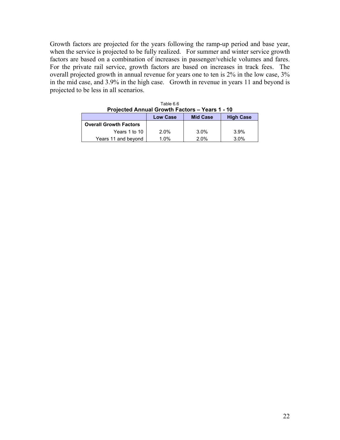Growth factors are projected for the years following the ramp-up period and base year, when the service is projected to be fully realized. For summer and winter service growth factors are based on a combination of increases in passenger/vehicle volumes and fares. For the private rail service, growth factors are based on increases in track fees. The overall projected growth in annual revenue for years one to ten is 2% in the low case, 3% in the mid case, and 3.9% in the high case. Growth in revenue in years 11 and beyond is projected to be less in all scenarios.

| Projected Annual Growth Factors – Years 1 - 10 |                 |                 |                  |  |
|------------------------------------------------|-----------------|-----------------|------------------|--|
|                                                | <b>Low Case</b> | <b>Mid Case</b> | <b>High Case</b> |  |
| <b>Overall Growth Factors</b>                  |                 |                 |                  |  |
| Years 1 to 10                                  | $2.0\%$         | 3.0%            | 3.9%             |  |
| Years 11 and beyond                            | 1.0%            | 2.0%            | 3.0%             |  |

| Table 6.6                                             |  |  |  |  |
|-------------------------------------------------------|--|--|--|--|
| <b>Projected Annual Growth Factors - Years 1 - 10</b> |  |  |  |  |
|                                                       |  |  |  |  |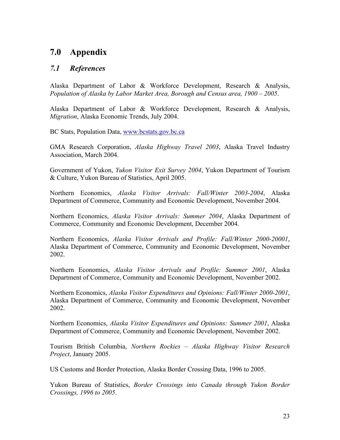## **7.0 Appendix**

## *7.1 References*

Alaska Department of Labor & Workforce Development, Research & Analysis, *Population of Alaska by Labor Market Area, Borough and Census area, 1900 – 2005*.

Alaska Department of Labor & Workforce Development, Research & Analysis, *Migration*, Alaska Economic Trends, July 2004.

BC Stats, Population Data, www.bcstats.gov.bc.ca

GMA Research Corporation, *Alaska Highway Travel 2003*, Alaska Travel Industry Association, March 2004.

Government of Yukon, *Yukon Visitor Exit Survey 2004*, Yukon Department of Tourism & Culture, Yukon Bureau of Statistics, April 2005.

Northern Economics, *Alaska Visitor Arrivals: Fall/Winter 2003-2004*, Alaska Department of Commerce, Community and Economic Development, November 2004.

Northern Economics, *Alaska Visitor Arrivals: Summer 2004*, Alaska Department of Commerce, Community and Economic Development, December 2004.

Northern Economics, *Alaska Visitor Arrivals and Profile: Fall/Winter 2000-20001*, Alaska Department of Commerce, Community and Economic Development, November 2002.

Northern Economics, *Alaska Visitor Arrivals and Profile: Summer 2001*, Alaska Department of Commerce, Community and Economic Development, November 2002.

Northern Economics, *Alaska Visitor Expenditures and Opinions: Fall/Winter 2000-2001*, Alaska Department of Commerce, Community and Economic Development, November 2002.

Northern Economics, *Alaska Visitor Expenditures and Opinions: Summer 2001*, Alaska Department of Commerce, Community and Economic Development, November 2002.

Tourism British Columbia, *Northern Rockies – Alaska Highway Visitor Research Project*, January 2005.

US Customs and Border Protection, Alaska Border Crossing Data, 1996 to 2005.

Yukon Bureau of Statistics, *Border Crossings into Canada through Yukon Border Crossings, 1996 to 2005*.